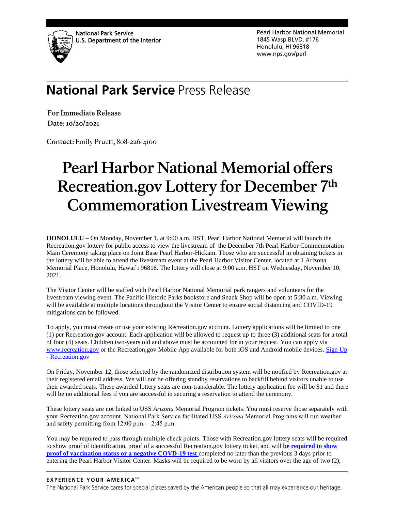

Pearl Harbor National Memorial 1845 Wasp BLVD, #176 Honolulu, HI 96818 www.nps.gov/perl

## **National Park Service Press Release**

**For Immediate Release** Date: 10/20/2021

Contact: Emily Pruett, 808-226-4100

## **Pearl Harbor National Memorial offers** Recreation.gov Lottery for December 7th **Commemoration Livestream Viewing**

**HONOLULU –** On Monday, November 1, at 9:00 a.m. HST, Pearl Harbor National Memorial will launch the Recreation.gov lottery for public access to view the livestream of the December 7th Pearl Harbor Commemoration Main Ceremony taking place on Joint Base Pearl Harbor-Hickam. Those who are successful in obtaining tickets in the lottery will be able to attend the livestream event at the Pearl Harbor Visitor Center, located at 1 Arizona Memorial Place, Honolulu, Hawai`i 96818. The lottery will close at 9:00 a.m. HST on Wednesday, November 10, 2021.

The Visitor Center will be staffed with Pearl Harbor National Memorial park rangers and volunteers for the livestream viewing event. The Pacific Historic Parks bookstore and Snack Shop will be open at 5:30 a.m. Viewing will be available at multiple locations throughout the Visitor Center to ensure social distancing and COVID-19 mitigations can be followed.

To apply, you must create or use your existing Recreation.gov account. Lottery applications will be limited to one (1) per Recreation.gov account. Each application will be allowed to request up to three (3) additional seats for a total of four (4) seats. Children two-years old and above must be accounted for in your request. You can apply via [www.recreation.gov](http://www.recreation.gov/) or the Recreation,gov Mobile App available for both iOS and Android mobile devices. Sign Up - [Recreation.gov](https://www.recreation.gov/sign-up)

On Friday, November 12, those selected by the randomized distribution system will be notified by Recreation.gov at their registered email address. We will not be offering standby reservations to backfill behind visitors unable to use their awarded seats. These awarded lottery seats are non-transferable. The lottery application fee will be \$1 and there will be no additional fees if you are successful in securing a reservation to attend the ceremony.

These lottery seats are not linked to USS *Arizona* Memorial Program tickets. You must reserve those separately with your Recreation.gov account. National Park Service facilitated USS *Arizona* Memorial Programs will run weather and safety permitting from  $12:00$  p.m.  $-2:45$  p.m.

You may be required to pass through multiple check points. Those with Recreation.gov lottery seats will be required to show proof of identification, proof of a successful Recreation.gov lottery ticket, and will **[be required to show](https://www.nps.gov/perl/planyourvisit/upload/covid-pb-2021-01-covid-50-person-hosted-meetings-events-and-conferences.pdf)  [proof of vaccination status or a negative COVD-19 test](https://www.nps.gov/perl/planyourvisit/upload/covid-pb-2021-01-covid-50-person-hosted-meetings-events-and-conferences.pdf)** completed no later than the previous 3 days prior to entering the Pearl Harbor Visitor Center. Masks will be required to be worn by all visitors over the age of two (2),

## **EXPERIENCE YOUR AMERICA™**

The National Park Service cares for special places saved by the American people so that all may experience our heritage.